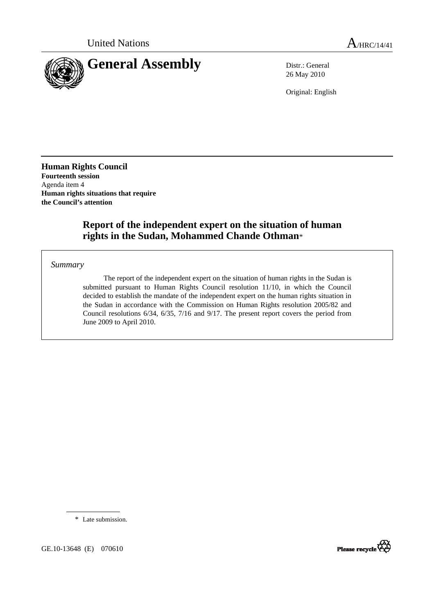

26 May 2010

Original: English

**Human Rights Council Fourteenth session**  Agenda item 4 **Human rights situations that require the Council's attention** 

# **Report of the independent expert on the situation of human rights in the Sudan, Mohammed Chande Othman**\*

*Summary*

 The report of the independent expert on the situation of human rights in the Sudan is submitted pursuant to Human Rights Council resolution 11/10, in which the Council decided to establish the mandate of the independent expert on the human rights situation in the Sudan in accordance with the Commission on Human Rights resolution 2005/82 and Council resolutions 6/34, 6/35, 7/16 and 9/17. The present report covers the period from June 2009 to April 2010.

\* Late submission.



GE.10-13648 (E) 070610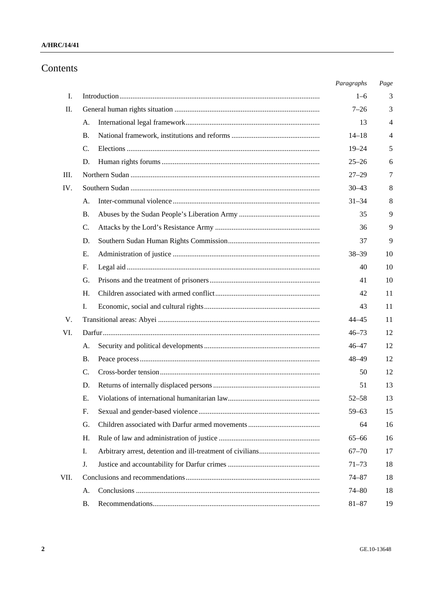### **A/HRC/14/41**

# Contents

|      |    | Paragraphs | Page           |
|------|----|------------|----------------|
| I.   |    | $1 - 6$    | 3              |
| Π.   |    | $7 - 26$   | 3              |
|      | А. | 13         | $\overline{4}$ |
|      | В. | $14 - 18$  | $\overline{4}$ |
|      | C. | $19 - 24$  | 5              |
|      | D. | $25 - 26$  | 6              |
| Ш.   |    | $27 - 29$  | 7              |
| IV.  |    | $30 - 43$  | 8              |
|      | А. | $31 - 34$  | 8              |
|      | В. | 35         | 9              |
|      | C. | 36         | 9              |
|      | D. | 37         | 9              |
|      | Е. | $38 - 39$  | 10             |
|      | F. | 40         | 10             |
|      | G. | 41         | 10             |
|      | H. | 42         | 11             |
|      | I. | 43         | 11             |
| V.   |    | 44–45      | 11             |
| VI.  |    | $46 - 73$  | 12             |
|      | А. | $46 - 47$  | 12             |
|      | В. | $48 - 49$  | 12             |
|      | C. | 50         | 12             |
|      | D. | 51         | 13             |
|      | Ε. | $52 - 58$  | 13             |
|      | F. | $59 - 63$  | 15             |
|      | G. | 64         | 16             |
|      | Η. | $65 - 66$  | 16             |
|      | I. | $67 - 70$  | 17             |
|      | J. | $71 - 73$  | 18             |
| VII. |    | $74 - 87$  | 18             |
|      | А. | $74 - 80$  | 18             |
|      | Β. | $81 - 87$  | 19             |
|      |    |            |                |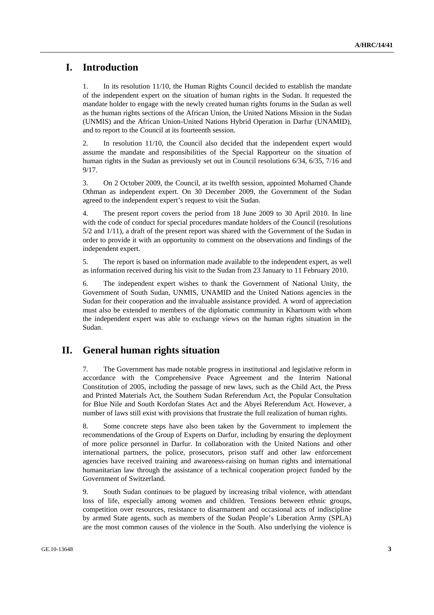# **I. Introduction**

1. In its resolution 11/10, the Human Rights Council decided to establish the mandate of the independent expert on the situation of human rights in the Sudan. It requested the mandate holder to engage with the newly created human rights forums in the Sudan as well as the human rights sections of the African Union, the United Nations Mission in the Sudan (UNMIS) and the African Union-United Nations Hybrid Operation in Darfur (UNAMID), and to report to the Council at its fourteenth session.

2. In resolution 11/10, the Council also decided that the independent expert would assume the mandate and responsibilities of the Special Rapporteur on the situation of human rights in the Sudan as previously set out in Council resolutions 6/34, 6/35, 7/16 and 9/17.

3. On 2 October 2009, the Council, at its twelfth session, appointed Mohamed Chande Othman as independent expert. On 30 December 2009, the Government of the Sudan agreed to the independent expert's request to visit the Sudan.

4. The present report covers the period from 18 June 2009 to 30 April 2010. In line with the code of conduct for special procedures mandate holders of the Council (resolutions 5/2 and 1/11), a draft of the present report was shared with the Government of the Sudan in order to provide it with an opportunity to comment on the observations and findings of the independent expert.

5. The report is based on information made available to the independent expert, as well as information received during his visit to the Sudan from 23 January to 11 February 2010.

6. The independent expert wishes to thank the Government of National Unity, the Government of South Sudan, UNMIS, UNAMID and the United Nations agencies in the Sudan for their cooperation and the invaluable assistance provided. A word of appreciation must also be extended to members of the diplomatic community in Khartoum with whom the independent expert was able to exchange views on the human rights situation in the Sudan.

# **II. General human rights situation**

7. The Government has made notable progress in institutional and legislative reform in accordance with the Comprehensive Peace Agreement and the Interim National Constitution of 2005, including the passage of new laws, such as the Child Act, the Press and Printed Materials Act, the Southern Sudan Referendum Act, the Popular Consultation for Blue Nile and South Kordofan States Act and the Abyei Referendum Act. However, a number of laws still exist with provisions that frustrate the full realization of human rights.

8. Some concrete steps have also been taken by the Government to implement the recommendations of the Group of Experts on Darfur, including by ensuring the deployment of more police personnel in Darfur. In collaboration with the United Nations and other international partners, the police, prosecutors, prison staff and other law enforcement agencies have received training and awareness-raising on human rights and international humanitarian law through the assistance of a technical cooperation project funded by the Government of Switzerland.

9. South Sudan continues to be plagued by increasing tribal violence, with attendant loss of life, especially among women and children. Tensions between ethnic groups, competition over resources, resistance to disarmament and occasional acts of indiscipline by armed State agents, such as members of the Sudan People's Liberation Army (SPLA) are the most common causes of the violence in the South. Also underlying the violence is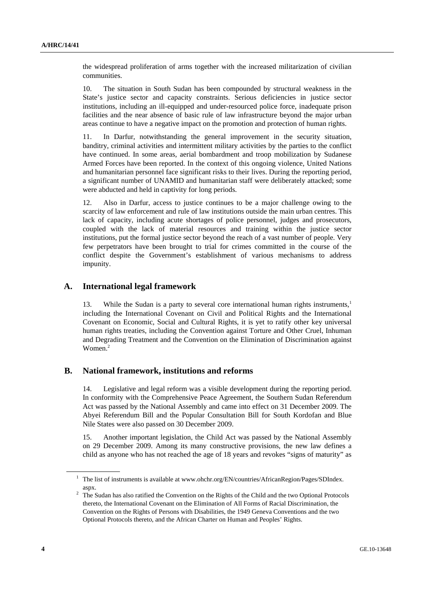the widespread proliferation of arms together with the increased militarization of civilian communities.

10. The situation in South Sudan has been compounded by structural weakness in the State's justice sector and capacity constraints. Serious deficiencies in justice sector institutions, including an ill-equipped and under-resourced police force, inadequate prison facilities and the near absence of basic rule of law infrastructure beyond the major urban areas continue to have a negative impact on the promotion and protection of human rights.

11. In Darfur, notwithstanding the general improvement in the security situation, banditry, criminal activities and intermittent military activities by the parties to the conflict have continued. In some areas, aerial bombardment and troop mobilization by Sudanese Armed Forces have been reported. In the context of this ongoing violence, United Nations and humanitarian personnel face significant risks to their lives. During the reporting period, a significant number of UNAMID and humanitarian staff were deliberately attacked; some were abducted and held in captivity for long periods.

12. Also in Darfur, access to justice continues to be a major challenge owing to the scarcity of law enforcement and rule of law institutions outside the main urban centres. This lack of capacity, including acute shortages of police personnel, judges and prosecutors, coupled with the lack of material resources and training within the justice sector institutions, put the formal justice sector beyond the reach of a vast number of people. Very few perpetrators have been brought to trial for crimes committed in the course of the conflict despite the Government's establishment of various mechanisms to address impunity.

#### **A. International legal framework**

13. While the Sudan is a party to several core international human rights instruments,<sup>1</sup> including the International Covenant on Civil and Political Rights and the International Covenant on Economic, Social and Cultural Rights, it is yet to ratify other key universal human rights treaties, including the Convention against Torture and Other Cruel, Inhuman and Degrading Treatment and the Convention on the Elimination of Discrimination against Women.<sup>2</sup>

#### **B. National framework, institutions and reforms**

14. Legislative and legal reform was a visible development during the reporting period. In conformity with the Comprehensive Peace Agreement, the Southern Sudan Referendum Act was passed by the National Assembly and came into effect on 31 December 2009. The Abyei Referendum Bill and the Popular Consultation Bill for South Kordofan and Blue Nile States were also passed on 30 December 2009.

15. Another important legislation, the Child Act was passed by the National Assembly on 29 December 2009. Among its many constructive provisions, the new law defines a child as anyone who has not reached the age of 18 years and revokes "signs of maturity" as

<sup>&</sup>lt;sup>1</sup> The list of instruments is available at www.ohchr.org/EN/countries/AfricanRegion/Pages/SDIndex.

aspx.<br><sup>2</sup> The Sudan has also ratified the Convention on the Rights of the Child and the two Optional Protocols thereto, the International Covenant on the Elimination of All Forms of Racial Discrimination, the Convention on the Rights of Persons with Disabilities, the 1949 Geneva Conventions and the two Optional Protocols thereto, and the African Charter on Human and Peoples' Rights.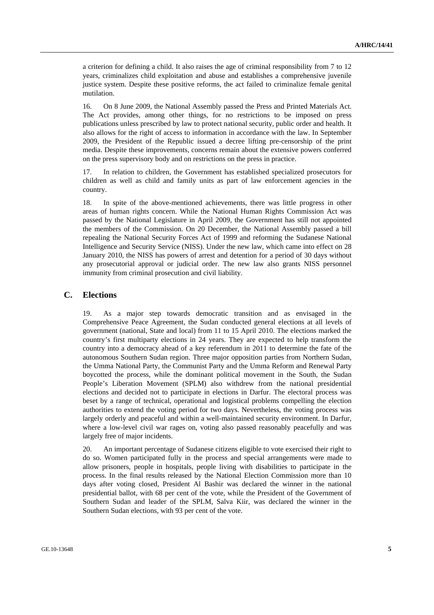a criterion for defining a child. It also raises the age of criminal responsibility from 7 to 12 years, criminalizes child exploitation and abuse and establishes a comprehensive juvenile justice system. Despite these positive reforms, the act failed to criminalize female genital mutilation.

16. On 8 June 2009, the National Assembly passed the Press and Printed Materials Act. The Act provides, among other things, for no restrictions to be imposed on press publications unless prescribed by law to protect national security, public order and health. It also allows for the right of access to information in accordance with the law. In September 2009, the President of the Republic issued a decree lifting pre-censorship of the print media. Despite these improvements, concerns remain about the extensive powers conferred on the press supervisory body and on restrictions on the press in practice.

17. In relation to children, the Government has established specialized prosecutors for children as well as child and family units as part of law enforcement agencies in the country.

18. In spite of the above-mentioned achievements, there was little progress in other areas of human rights concern. While the National Human Rights Commission Act was passed by the National Legislature in April 2009, the Government has still not appointed the members of the Commission. On 20 December, the National Assembly passed a bill repealing the National Security Forces Act of 1999 and reforming the Sudanese National Intelligence and Security Service (NISS). Under the new law, which came into effect on 28 January 2010, the NISS has powers of arrest and detention for a period of 30 days without any prosecutorial approval or judicial order. The new law also grants NISS personnel immunity from criminal prosecution and civil liability.

#### **C. Elections**

19. As a major step towards democratic transition and as envisaged in the Comprehensive Peace Agreement, the Sudan conducted general elections at all levels of government (national, State and local) from 11 to 15 April 2010. The elections marked the country's first multiparty elections in 24 years. They are expected to help transform the country into a democracy ahead of a key referendum in 2011 to determine the fate of the autonomous Southern Sudan region. Three major opposition parties from Northern Sudan, the Umma National Party, the Communist Party and the Umma Reform and Renewal Party boycotted the process, while the dominant political movement in the South, the Sudan People's Liberation Movement (SPLM) also withdrew from the national presidential elections and decided not to participate in elections in Darfur. The electoral process was beset by a range of technical, operational and logistical problems compelling the election authorities to extend the voting period for two days. Nevertheless, the voting process was largely orderly and peaceful and within a well-maintained security environment. In Darfur, where a low-level civil war rages on, voting also passed reasonably peacefully and was largely free of major incidents.

20. An important percentage of Sudanese citizens eligible to vote exercised their right to do so. Women participated fully in the process and special arrangements were made to allow prisoners, people in hospitals, people living with disabilities to participate in the process. In the final results released by the National Election Commission more than 10 days after voting closed, President Al Bashir was declared the winner in the national presidential ballot, with 68 per cent of the vote, while the President of the Government of Southern Sudan and leader of the SPLM, Salva Kiir, was declared the winner in the Southern Sudan elections, with 93 per cent of the vote.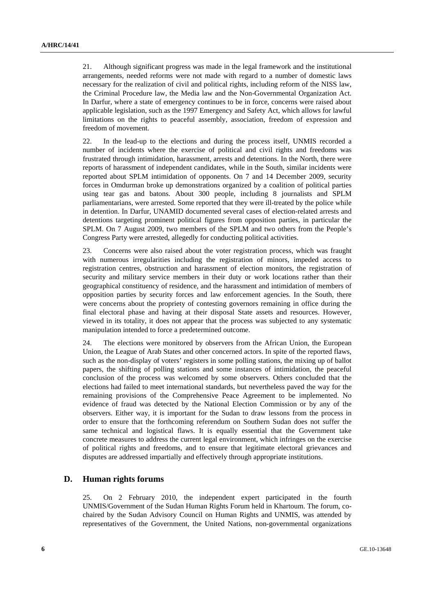21. Although significant progress was made in the legal framework and the institutional arrangements, needed reforms were not made with regard to a number of domestic laws necessary for the realization of civil and political rights, including reform of the NISS law, the Criminal Procedure law, the Media law and the Non-Governmental Organization Act. In Darfur, where a state of emergency continues to be in force, concerns were raised about applicable legislation, such as the 1997 Emergency and Safety Act, which allows for lawful limitations on the rights to peaceful assembly, association, freedom of expression and freedom of movement.

22. In the lead-up to the elections and during the process itself, UNMIS recorded a number of incidents where the exercise of political and civil rights and freedoms was frustrated through intimidation, harassment, arrests and detentions. In the North, there were reports of harassment of independent candidates, while in the South, similar incidents were reported about SPLM intimidation of opponents. On 7 and 14 December 2009, security forces in Omdurman broke up demonstrations organized by a coalition of political parties using tear gas and batons. About 300 people, including 8 journalists and SPLM parliamentarians, were arrested. Some reported that they were ill-treated by the police while in detention. In Darfur, UNAMID documented several cases of election-related arrests and detentions targeting prominent political figures from opposition parties, in particular the SPLM. On 7 August 2009, two members of the SPLM and two others from the People's Congress Party were arrested, allegedly for conducting political activities.

23. Concerns were also raised about the voter registration process, which was fraught with numerous irregularities including the registration of minors, impeded access to registration centres, obstruction and harassment of election monitors, the registration of security and military service members in their duty or work locations rather than their geographical constituency of residence, and the harassment and intimidation of members of opposition parties by security forces and law enforcement agencies. In the South, there were concerns about the propriety of contesting governors remaining in office during the final electoral phase and having at their disposal State assets and resources. However, viewed in its totality, it does not appear that the process was subjected to any systematic manipulation intended to force a predetermined outcome.

24. The elections were monitored by observers from the African Union, the European Union, the League of Arab States and other concerned actors. In spite of the reported flaws, such as the non-display of voters' registers in some polling stations, the mixing up of ballot papers, the shifting of polling stations and some instances of intimidation, the peaceful conclusion of the process was welcomed by some observers. Others concluded that the elections had failed to meet international standards, but nevertheless paved the way for the remaining provisions of the Comprehensive Peace Agreement to be implemented. No evidence of fraud was detected by the National Election Commission or by any of the observers. Either way, it is important for the Sudan to draw lessons from the process in order to ensure that the forthcoming referendum on Southern Sudan does not suffer the same technical and logistical flaws. It is equally essential that the Government take concrete measures to address the current legal environment, which infringes on the exercise of political rights and freedoms, and to ensure that legitimate electoral grievances and disputes are addressed impartially and effectively through appropriate institutions.

## **D. Human rights forums**

25. On 2 February 2010, the independent expert participated in the fourth UNMIS/Government of the Sudan Human Rights Forum held in Khartoum. The forum, cochaired by the Sudan Advisory Council on Human Rights and UNMIS, was attended by representatives of the Government, the United Nations, non-governmental organizations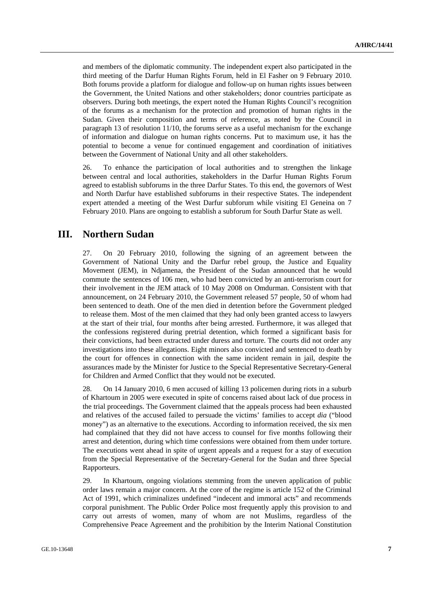and members of the diplomatic community. The independent expert also participated in the third meeting of the Darfur Human Rights Forum, held in El Fasher on 9 February 2010. Both forums provide a platform for dialogue and follow-up on human rights issues between the Government, the United Nations and other stakeholders; donor countries participate as observers. During both meetings, the expert noted the Human Rights Council's recognition of the forums as a mechanism for the protection and promotion of human rights in the Sudan. Given their composition and terms of reference, as noted by the Council in paragraph 13 of resolution 11/10, the forums serve as a useful mechanism for the exchange of information and dialogue on human rights concerns. Put to maximum use, it has the potential to become a venue for continued engagement and coordination of initiatives between the Government of National Unity and all other stakeholders.

26. To enhance the participation of local authorities and to strengthen the linkage between central and local authorities, stakeholders in the Darfur Human Rights Forum agreed to establish subforums in the three Darfur States. To this end, the governors of West and North Darfur have established subforums in their respective States. The independent expert attended a meeting of the West Darfur subforum while visiting El Geneina on 7 February 2010. Plans are ongoing to establish a subforum for South Darfur State as well.

# **III. Northern Sudan**

27. On 20 February 2010, following the signing of an agreement between the Government of National Unity and the Darfur rebel group, the Justice and Equality Movement (JEM), in Ndjamena, the President of the Sudan announced that he would commute the sentences of 106 men, who had been convicted by an anti-terrorism court for their involvement in the JEM attack of 10 May 2008 on Omdurman. Consistent with that announcement, on 24 February 2010, the Government released 57 people, 50 of whom had been sentenced to death. One of the men died in detention before the Government pledged to release them. Most of the men claimed that they had only been granted access to lawyers at the start of their trial, four months after being arrested. Furthermore, it was alleged that the confessions registered during pretrial detention, which formed a significant basis for their convictions, had been extracted under duress and torture. The courts did not order any investigations into these allegations. Eight minors also convicted and sentenced to death by the court for offences in connection with the same incident remain in jail, despite the assurances made by the Minister for Justice to the Special Representative Secretary-General for Children and Armed Conflict that they would not be executed.

28. On 14 January 2010, 6 men accused of killing 13 policemen during riots in a suburb of Khartoum in 2005 were executed in spite of concerns raised about lack of due process in the trial proceedings. The Government claimed that the appeals process had been exhausted and relatives of the accused failed to persuade the victims' families to accept *dia* ("blood money") as an alternative to the executions. According to information received, the six men had complained that they did not have access to counsel for five months following their arrest and detention, during which time confessions were obtained from them under torture. The executions went ahead in spite of urgent appeals and a request for a stay of execution from the Special Representative of the Secretary-General for the Sudan and three Special Rapporteurs.

29. In Khartoum, ongoing violations stemming from the uneven application of public order laws remain a major concern. At the core of the regime is article 152 of the Criminal Act of 1991, which criminalizes undefined "indecent and immoral acts" and recommends corporal punishment. The Public Order Police most frequently apply this provision to and carry out arrests of women, many of whom are not Muslims, regardless of the Comprehensive Peace Agreement and the prohibition by the Interim National Constitution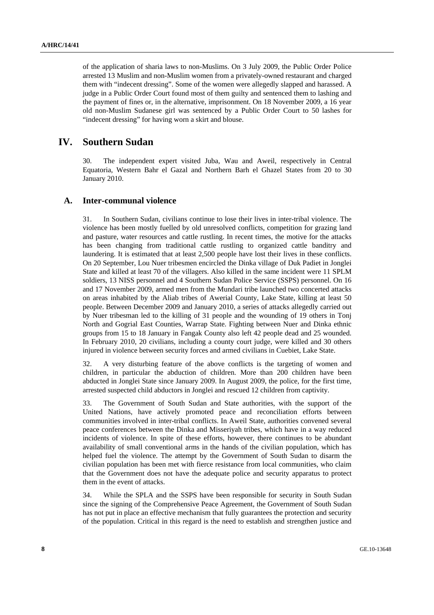of the application of sharia laws to non-Muslims. On 3 July 2009, the Public Order Police arrested 13 Muslim and non-Muslim women from a privately-owned restaurant and charged them with "indecent dressing". Some of the women were allegedly slapped and harassed. A judge in a Public Order Court found most of them guilty and sentenced them to lashing and the payment of fines or, in the alternative, imprisonment. On 18 November 2009, a 16 year old non-Muslim Sudanese girl was sentenced by a Public Order Court to 50 lashes for "indecent dressing" for having worn a skirt and blouse.

# **IV. Southern Sudan**

30. The independent expert visited Juba, Wau and Aweil, respectively in Central Equatoria, Western Bahr el Gazal and Northern Barh el Ghazel States from 20 to 30 January 2010.

#### **A. Inter-communal violence**

31. In Southern Sudan, civilians continue to lose their lives in inter-tribal violence. The violence has been mostly fuelled by old unresolved conflicts, competition for grazing land and pasture, water resources and cattle rustling. In recent times, the motive for the attacks has been changing from traditional cattle rustling to organized cattle banditry and laundering. It is estimated that at least 2,500 people have lost their lives in these conflicts. On 20 September, Lou Nuer tribesmen encircled the Dinka village of Duk Padiet in Jonglei State and killed at least 70 of the villagers. Also killed in the same incident were 11 SPLM soldiers, 13 NISS personnel and 4 Southern Sudan Police Service (SSPS) personnel. On 16 and 17 November 2009, armed men from the Mundari tribe launched two concerted attacks on areas inhabited by the Aliab tribes of Awerial County, Lake State, killing at least 50 people. Between December 2009 and January 2010, a series of attacks allegedly carried out by Nuer tribesman led to the killing of 31 people and the wounding of 19 others in Tonj North and Gogrial East Counties, Warrap State. Fighting between Nuer and Dinka ethnic groups from 15 to 18 January in Fangak County also left 42 people dead and 25 wounded. In February 2010, 20 civilians, including a county court judge, were killed and 30 others injured in violence between security forces and armed civilians in Cuebiet, Lake State.

32. A very disturbing feature of the above conflicts is the targeting of women and children, in particular the abduction of children. More than 200 children have been abducted in Jonglei State since January 2009. In August 2009, the police, for the first time, arrested suspected child abductors in Jonglei and rescued 12 children from captivity.

33. The Government of South Sudan and State authorities, with the support of the United Nations, have actively promoted peace and reconciliation efforts between communities involved in inter-tribal conflicts. In Aweil State, authorities convened several peace conferences between the Dinka and Misseriyah tribes, which have in a way reduced incidents of violence. In spite of these efforts, however, there continues to be abundant availability of small conventional arms in the hands of the civilian population, which has helped fuel the violence. The attempt by the Government of South Sudan to disarm the civilian population has been met with fierce resistance from local communities, who claim that the Government does not have the adequate police and security apparatus to protect them in the event of attacks.

34. While the SPLA and the SSPS have been responsible for security in South Sudan since the signing of the Comprehensive Peace Agreement, the Government of South Sudan has not put in place an effective mechanism that fully guarantees the protection and security of the population. Critical in this regard is the need to establish and strengthen justice and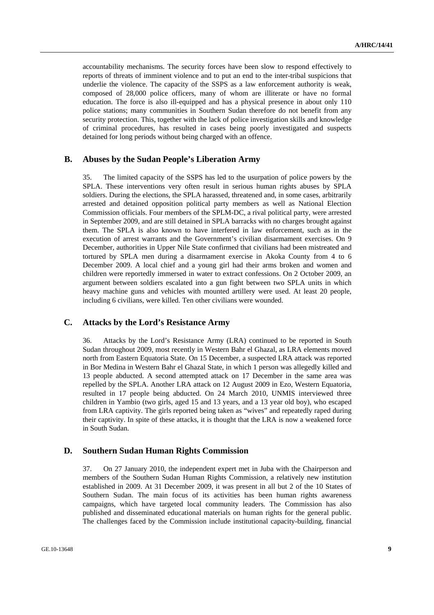accountability mechanisms. The security forces have been slow to respond effectively to reports of threats of imminent violence and to put an end to the inter-tribal suspicions that underlie the violence. The capacity of the SSPS as a law enforcement authority is weak, composed of 28,000 police officers, many of whom are illiterate or have no formal education. The force is also ill-equipped and has a physical presence in about only 110 police stations; many communities in Southern Sudan therefore do not benefit from any security protection. This, together with the lack of police investigation skills and knowledge of criminal procedures, has resulted in cases being poorly investigated and suspects detained for long periods without being charged with an offence.

#### **B. Abuses by the Sudan People's Liberation Army**

35. The limited capacity of the SSPS has led to the usurpation of police powers by the SPLA. These interventions very often result in serious human rights abuses by SPLA soldiers. During the elections, the SPLA harassed, threatened and, in some cases, arbitrarily arrested and detained opposition political party members as well as National Election Commission officials. Four members of the SPLM-DC, a rival political party, were arrested in September 2009, and are still detained in SPLA barracks with no charges brought against them. The SPLA is also known to have interfered in law enforcement, such as in the execution of arrest warrants and the Government's civilian disarmament exercises. On 9 December, authorities in Upper Nile State confirmed that civilians had been mistreated and tortured by SPLA men during a disarmament exercise in Akoka County from 4 to 6 December 2009. A local chief and a young girl had their arms broken and women and children were reportedly immersed in water to extract confessions. On 2 October 2009, an argument between soldiers escalated into a gun fight between two SPLA units in which heavy machine guns and vehicles with mounted artillery were used. At least 20 people, including 6 civilians, were killed. Ten other civilians were wounded.

#### **C. Attacks by the Lord's Resistance Army**

36. Attacks by the Lord's Resistance Army (LRA) continued to be reported in South Sudan throughout 2009, most recently in Western Bahr el Ghazal, as LRA elements moved north from Eastern Equatoria State. On 15 December, a suspected LRA attack was reported in Bor Medina in Western Bahr el Ghazal State, in which 1 person was allegedly killed and 13 people abducted. A second attempted attack on 17 December in the same area was repelled by the SPLA. Another LRA attack on 12 August 2009 in Ezo, Western Equatoria, resulted in 17 people being abducted. On 24 March 2010, UNMIS interviewed three children in Yambio (two girls, aged 15 and 13 years, and a 13 year old boy), who escaped from LRA captivity. The girls reported being taken as "wives" and repeatedly raped during their captivity. In spite of these attacks, it is thought that the LRA is now a weakened force in South Sudan.

#### **D. Southern Sudan Human Rights Commission**

37. On 27 January 2010, the independent expert met in Juba with the Chairperson and members of the Southern Sudan Human Rights Commission, a relatively new institution established in 2009. At 31 December 2009, it was present in all but 2 of the 10 States of Southern Sudan. The main focus of its activities has been human rights awareness campaigns, which have targeted local community leaders. The Commission has also published and disseminated educational materials on human rights for the general public. The challenges faced by the Commission include institutional capacity-building, financial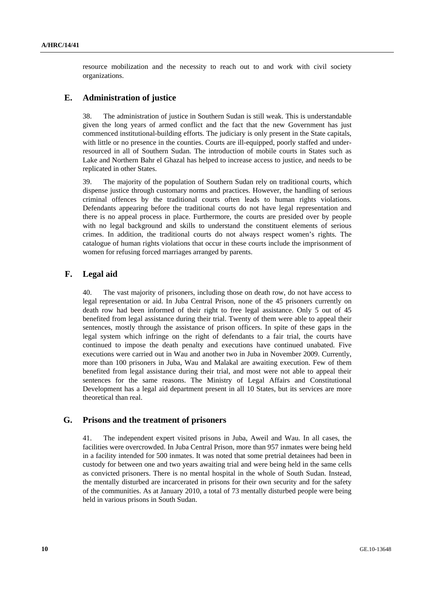resource mobilization and the necessity to reach out to and work with civil society organizations.

### **E. Administration of justice**

38. The administration of justice in Southern Sudan is still weak. This is understandable given the long years of armed conflict and the fact that the new Government has just commenced institutional-building efforts. The judiciary is only present in the State capitals, with little or no presence in the counties. Courts are ill-equipped, poorly staffed and underresourced in all of Southern Sudan. The introduction of mobile courts in States such as Lake and Northern Bahr el Ghazal has helped to increase access to justice, and needs to be replicated in other States.

39. The majority of the population of Southern Sudan rely on traditional courts, which dispense justice through customary norms and practices. However, the handling of serious criminal offences by the traditional courts often leads to human rights violations. Defendants appearing before the traditional courts do not have legal representation and there is no appeal process in place. Furthermore, the courts are presided over by people with no legal background and skills to understand the constituent elements of serious crimes. In addition, the traditional courts do not always respect women's rights. The catalogue of human rights violations that occur in these courts include the imprisonment of women for refusing forced marriages arranged by parents.

## **F. Legal aid**

40. The vast majority of prisoners, including those on death row, do not have access to legal representation or aid. In Juba Central Prison, none of the 45 prisoners currently on death row had been informed of their right to free legal assistance. Only 5 out of 45 benefited from legal assistance during their trial. Twenty of them were able to appeal their sentences, mostly through the assistance of prison officers. In spite of these gaps in the legal system which infringe on the right of defendants to a fair trial, the courts have continued to impose the death penalty and executions have continued unabated. Five executions were carried out in Wau and another two in Juba in November 2009. Currently, more than 100 prisoners in Juba, Wau and Malakal are awaiting execution. Few of them benefited from legal assistance during their trial, and most were not able to appeal their sentences for the same reasons. The Ministry of Legal Affairs and Constitutional Development has a legal aid department present in all 10 States, but its services are more theoretical than real.

### **G. Prisons and the treatment of prisoners**

41. The independent expert visited prisons in Juba, Aweil and Wau. In all cases, the facilities were overcrowded. In Juba Central Prison, more than 957 inmates were being held in a facility intended for 500 inmates. It was noted that some pretrial detainees had been in custody for between one and two years awaiting trial and were being held in the same cells as convicted prisoners. There is no mental hospital in the whole of South Sudan. Instead, the mentally disturbed are incarcerated in prisons for their own security and for the safety of the communities. As at January 2010, a total of 73 mentally disturbed people were being held in various prisons in South Sudan.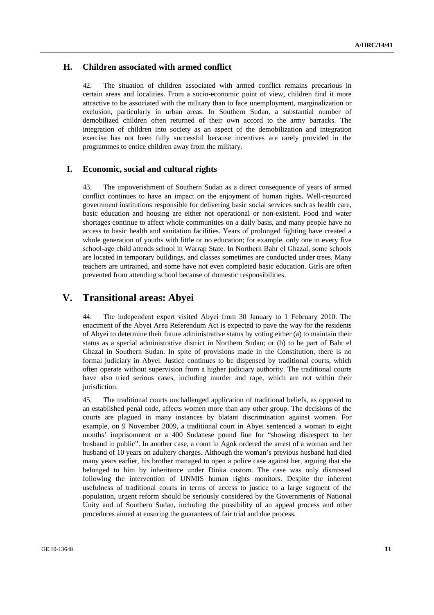## **H. Children associated with armed conflict**

42. The situation of children associated with armed conflict remains precarious in certain areas and localities. From a socio-economic point of view, children find it more attractive to be associated with the military than to face unemployment, marginalization or exclusion, particularly in urban areas. In Southern Sudan, a substantial number of demobilized children often returned of their own accord to the army barracks. The integration of children into society as an aspect of the demobilization and integration exercise has not been fully successful because incentives are rarely provided in the programmes to entice children away from the military.

## **I. Economic, social and cultural rights**

43. The impoverishment of Southern Sudan as a direct consequence of years of armed conflict continues to have an impact on the enjoyment of human rights. Well-resourced government institutions responsible for delivering basic social services such as health care, basic education and housing are either not operational or non-existent. Food and water shortages continue to affect whole communities on a daily basis, and many people have no access to basic health and sanitation facilities. Years of prolonged fighting have created a whole generation of youths with little or no education; for example, only one in every five school-age child attends school in Warrap State. In Northern Bahr el Ghazal, some schools are located in temporary buildings, and classes sometimes are conducted under trees. Many teachers are untrained, and some have not even completed basic education. Girls are often prevented from attending school because of domestic responsibilities.

# **V. Transitional areas: Abyei**

44. The independent expert visited Abyei from 30 January to 1 February 2010. The enactment of the Abyei Area Referendum Act is expected to pave the way for the residents of Abyei to determine their future administrative status by voting either (a) to maintain their status as a special administrative district in Northern Sudan; or (b) to be part of Bahr el Ghazal in Southern Sudan. In spite of provisions made in the Constitution, there is no formal judiciary in Abyei. Justice continues to be dispensed by traditional courts, which often operate without supervision from a higher judiciary authority. The traditional courts have also tried serious cases, including murder and rape, which are not within their jurisdiction.

45. The traditional courts unchallenged application of traditional beliefs, as opposed to an established penal code, affects women more than any other group. The decisions of the courts are plagued in many instances by blatant discrimination against women. For example, on 9 November 2009, a traditional court in Abyei sentenced a woman to eight months' imprisonment or a 400 Sudanese pound fine for "showing disrespect to her husband in public". In another case, a court in Agok ordered the arrest of a woman and her husband of 10 years on adultery charges. Although the woman's previous husband had died many years earlier, his brother managed to open a police case against her, arguing that she belonged to him by inheritance under Dinka custom. The case was only dismissed following the intervention of UNMIS human rights monitors. Despite the inherent usefulness of traditional courts in terms of access to justice to a large segment of the population, urgent reform should be seriously considered by the Governments of National Unity and of Southern Sudan, including the possibility of an appeal process and other procedures aimed at ensuring the guarantees of fair trial and due process.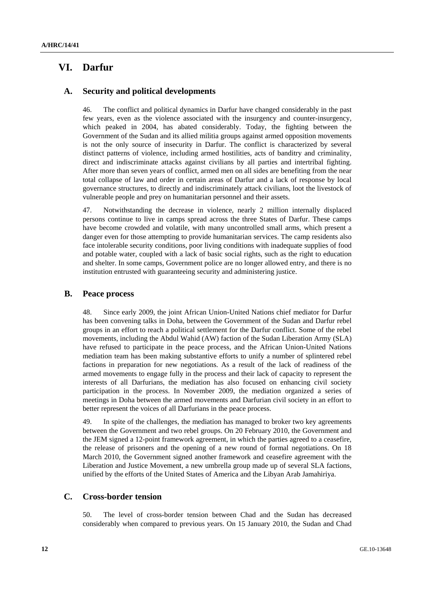# **VI. Darfur**

### **A. Security and political developments**

46. The conflict and political dynamics in Darfur have changed considerably in the past few years, even as the violence associated with the insurgency and counter-insurgency, which peaked in 2004, has abated considerably. Today, the fighting between the Government of the Sudan and its allied militia groups against armed opposition movements is not the only source of insecurity in Darfur. The conflict is characterized by several distinct patterns of violence, including armed hostilities, acts of banditry and criminality, direct and indiscriminate attacks against civilians by all parties and intertribal fighting. After more than seven years of conflict, armed men on all sides are benefiting from the near total collapse of law and order in certain areas of Darfur and a lack of response by local governance structures, to directly and indiscriminately attack civilians, loot the livestock of vulnerable people and prey on humanitarian personnel and their assets.

47. Notwithstanding the decrease in violence, nearly 2 million internally displaced persons continue to live in camps spread across the three States of Darfur. These camps have become crowded and volatile, with many uncontrolled small arms, which present a danger even for those attempting to provide humanitarian services. The camp residents also face intolerable security conditions, poor living conditions with inadequate supplies of food and potable water, coupled with a lack of basic social rights, such as the right to education and shelter. In some camps, Government police are no longer allowed entry, and there is no institution entrusted with guaranteeing security and administering justice.

## **B. Peace process**

48. Since early 2009, the joint African Union-United Nations chief mediator for Darfur has been convening talks in Doha, between the Government of the Sudan and Darfur rebel groups in an effort to reach a political settlement for the Darfur conflict. Some of the rebel movements, including the Abdul Wahid (AW) faction of the Sudan Liberation Army (SLA) have refused to participate in the peace process, and the African Union-United Nations mediation team has been making substantive efforts to unify a number of splintered rebel factions in preparation for new negotiations. As a result of the lack of readiness of the armed movements to engage fully in the process and their lack of capacity to represent the interests of all Darfurians, the mediation has also focused on enhancing civil society participation in the process. In November 2009, the mediation organized a series of meetings in Doha between the armed movements and Darfurian civil society in an effort to better represent the voices of all Darfurians in the peace process.

49. In spite of the challenges, the mediation has managed to broker two key agreements between the Government and two rebel groups. On 20 February 2010, the Government and the JEM signed a 12-point framework agreement, in which the parties agreed to a ceasefire, the release of prisoners and the opening of a new round of formal negotiations. On 18 March 2010, the Government signed another framework and ceasefire agreement with the Liberation and Justice Movement, a new umbrella group made up of several SLA factions, unified by the efforts of the United States of America and the Libyan Arab Jamahiriya.

## **C. Cross-border tension**

50. The level of cross-border tension between Chad and the Sudan has decreased considerably when compared to previous years. On 15 January 2010, the Sudan and Chad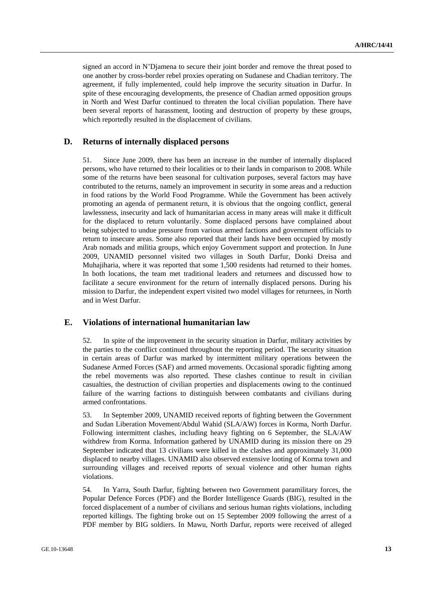signed an accord in N'Djamena to secure their joint border and remove the threat posed to one another by cross-border rebel proxies operating on Sudanese and Chadian territory. The agreement, if fully implemented, could help improve the security situation in Darfur. In spite of these encouraging developments, the presence of Chadian armed opposition groups in North and West Darfur continued to threaten the local civilian population. There have been several reports of harassment, looting and destruction of property by these groups, which reportedly resulted in the displacement of civilians.

### **D. Returns of internally displaced persons**

51. Since June 2009, there has been an increase in the number of internally displaced persons, who have returned to their localities or to their lands in comparison to 2008. While some of the returns have been seasonal for cultivation purposes, several factors may have contributed to the returns, namely an improvement in security in some areas and a reduction in food rations by the World Food Programme. While the Government has been actively promoting an agenda of permanent return, it is obvious that the ongoing conflict, general lawlessness, insecurity and lack of humanitarian access in many areas will make it difficult for the displaced to return voluntarily. Some displaced persons have complained about being subjected to undue pressure from various armed factions and government officials to return to insecure areas. Some also reported that their lands have been occupied by mostly Arab nomads and militia groups, which enjoy Government support and protection. In June 2009, UNAMID personnel visited two villages in South Darfur, Donki Dreisa and Muhajiharia, where it was reported that some 1,500 residents had returned to their homes. In both locations, the team met traditional leaders and returnees and discussed how to facilitate a secure environment for the return of internally displaced persons. During his mission to Darfur, the independent expert visited two model villages for returnees, in North and in West Darfur.

#### **E. Violations of international humanitarian law**

52. In spite of the improvement in the security situation in Darfur, military activities by the parties to the conflict continued throughout the reporting period. The security situation in certain areas of Darfur was marked by intermittent military operations between the Sudanese Armed Forces (SAF) and armed movements. Occasional sporadic fighting among the rebel movements was also reported. These clashes continue to result in civilian casualties, the destruction of civilian properties and displacements owing to the continued failure of the warring factions to distinguish between combatants and civilians during armed confrontations.

53. In September 2009, UNAMID received reports of fighting between the Government and Sudan Liberation Movement/Abdul Wahid (SLA/AW) forces in Korma, North Darfur. Following intermittent clashes, including heavy fighting on 6 September, the SLA/AW withdrew from Korma. Information gathered by UNAMID during its mission there on 29 September indicated that 13 civilians were killed in the clashes and approximately 31,000 displaced to nearby villages. UNAMID also observed extensive looting of Korma town and surrounding villages and received reports of sexual violence and other human rights violations.

54. In Yarra, South Darfur, fighting between two Government paramilitary forces, the Popular Defence Forces (PDF) and the Border Intelligence Guards (BIG), resulted in the forced displacement of a number of civilians and serious human rights violations, including reported killings. The fighting broke out on 15 September 2009 following the arrest of a PDF member by BIG soldiers. In Mawu, North Darfur, reports were received of alleged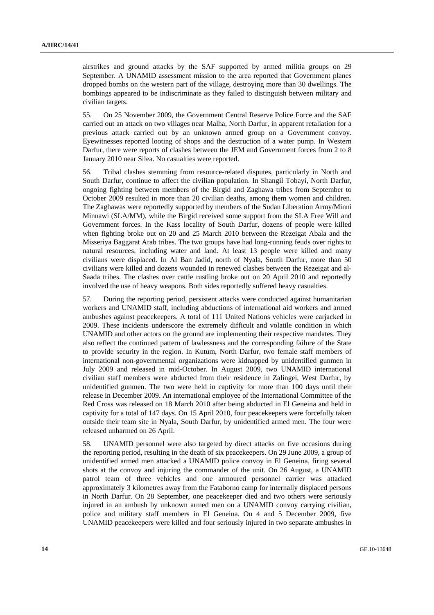airstrikes and ground attacks by the SAF supported by armed militia groups on 29 September. A UNAMID assessment mission to the area reported that Government planes dropped bombs on the western part of the village, destroying more than 30 dwellings. The bombings appeared to be indiscriminate as they failed to distinguish between military and civilian targets.

55. On 25 November 2009, the Government Central Reserve Police Force and the SAF carried out an attack on two villages near Malha, North Darfur, in apparent retaliation for a previous attack carried out by an unknown armed group on a Government convoy. Eyewitnesses reported looting of shops and the destruction of a water pump. In Western Darfur, there were reports of clashes between the JEM and Government forces from 2 to 8 January 2010 near Silea. No casualties were reported.

56. Tribal clashes stemming from resource-related disputes, particularly in North and South Darfur, continue to affect the civilian population. In Shangil Tobayi, North Darfur, ongoing fighting between members of the Birgid and Zaghawa tribes from September to October 2009 resulted in more than 20 civilian deaths, among them women and children. The Zaghawas were reportedly supported by members of the Sudan Liberation Army/Minni Minnawi (SLA/MM), while the Birgid received some support from the SLA Free Will and Government forces. In the Kass locality of South Darfur, dozens of people were killed when fighting broke out on 20 and 25 March 2010 between the Rezeigat Abala and the Misseriya Baggarat Arab tribes. The two groups have had long-running feuds over rights to natural resources, including water and land. At least 13 people were killed and many civilians were displaced. In Al Ban Jadid, north of Nyala, South Darfur, more than 50 civilians were killed and dozens wounded in renewed clashes between the Rezeigat and al-Saada tribes. The clashes over cattle rustling broke out on 20 April 2010 and reportedly involved the use of heavy weapons. Both sides reportedly suffered heavy casualties.

57. During the reporting period, persistent attacks were conducted against humanitarian workers and UNAMID staff, including abductions of international aid workers and armed ambushes against peacekeepers. A total of 111 United Nations vehicles were carjacked in 2009. These incidents underscore the extremely difficult and volatile condition in which UNAMID and other actors on the ground are implementing their respective mandates. They also reflect the continued pattern of lawlessness and the corresponding failure of the State to provide security in the region. In Kutum, North Darfur, two female staff members of international non-governmental organizations were kidnapped by unidentified gunmen in July 2009 and released in mid-October. In August 2009, two UNAMID international civilian staff members were abducted from their residence in Zalingei, West Darfur, by unidentified gunmen. The two were held in captivity for more than 100 days until their release in December 2009. An international employee of the International Committee of the Red Cross was released on 18 March 2010 after being abducted in El Geneina and held in captivity for a total of 147 days. On 15 April 2010, four peacekeepers were forcefully taken outside their team site in Nyala, South Darfur, by unidentified armed men. The four were released unharmed on 26 April.

58. UNAMID personnel were also targeted by direct attacks on five occasions during the reporting period, resulting in the death of six peacekeepers. On 29 June 2009, a group of unidentified armed men attacked a UNAMID police convoy in El Geneina, firing several shots at the convoy and injuring the commander of the unit. On 26 August, a UNAMID patrol team of three vehicles and one armoured personnel carrier was attacked approximately 3 kilometres away from the Fataborno camp for internally displaced persons in North Darfur. On 28 September, one peacekeeper died and two others were seriously injured in an ambush by unknown armed men on a UNAMID convoy carrying civilian, police and military staff members in El Geneina. On 4 and 5 December 2009, five UNAMID peacekeepers were killed and four seriously injured in two separate ambushes in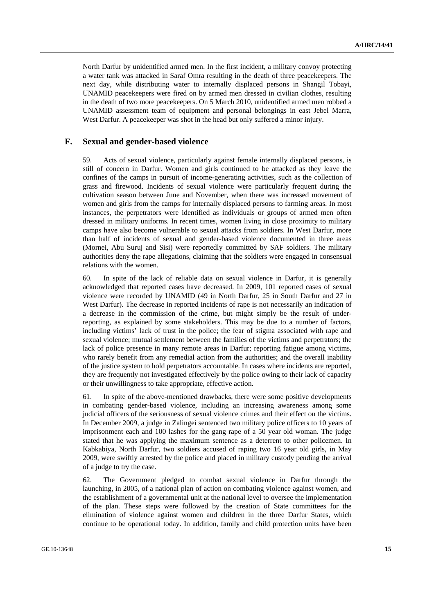North Darfur by unidentified armed men. In the first incident, a military convoy protecting a water tank was attacked in Saraf Omra resulting in the death of three peacekeepers. The next day, while distributing water to internally displaced persons in Shangil Tobayi, UNAMID peacekeepers were fired on by armed men dressed in civilian clothes, resulting in the death of two more peacekeepers. On 5 March 2010, unidentified armed men robbed a UNAMID assessment team of equipment and personal belongings in east Jebel Marra, West Darfur. A peace keeper was shot in the head but only suffered a minor injury.

### **F. Sexual and gender-based violence**

59. Acts of sexual violence, particularly against female internally displaced persons, is still of concern in Darfur. Women and girls continued to be attacked as they leave the confines of the camps in pursuit of income-generating activities, such as the collection of grass and firewood. Incidents of sexual violence were particularly frequent during the cultivation season between June and November, when there was increased movement of women and girls from the camps for internally displaced persons to farming areas. In most instances, the perpetrators were identified as individuals or groups of armed men often dressed in military uniforms. In recent times, women living in close proximity to military camps have also become vulnerable to sexual attacks from soldiers. In West Darfur, more than half of incidents of sexual and gender-based violence documented in three areas (Mornei, Abu Suruj and Sisi) were reportedly committed by SAF soldiers. The military authorities deny the rape allegations, claiming that the soldiers were engaged in consensual relations with the women.

60. In spite of the lack of reliable data on sexual violence in Darfur, it is generally acknowledged that reported cases have decreased. In 2009, 101 reported cases of sexual violence were recorded by UNAMID (49 in North Darfur, 25 in South Darfur and 27 in West Darfur). The decrease in reported incidents of rape is not necessarily an indication of a decrease in the commission of the crime, but might simply be the result of underreporting, as explained by some stakeholders. This may be due to a number of factors, including victims' lack of trust in the police; the fear of stigma associated with rape and sexual violence; mutual settlement between the families of the victims and perpetrators; the lack of police presence in many remote areas in Darfur; reporting fatigue among victims, who rarely benefit from any remedial action from the authorities; and the overall inability of the justice system to hold perpetrators accountable. In cases where incidents are reported, they are frequently not investigated effectively by the police owing to their lack of capacity or their unwillingness to take appropriate, effective action.

61. In spite of the above-mentioned drawbacks, there were some positive developments in combating gender-based violence, including an increasing awareness among some judicial officers of the seriousness of sexual violence crimes and their effect on the victims. In December 2009, a judge in Zalingei sentenced two military police officers to 10 years of imprisonment each and 100 lashes for the gang rape of a 50 year old woman. The judge stated that he was applying the maximum sentence as a deterrent to other policemen. In Kabkabiya, North Darfur, two soldiers accused of raping two 16 year old girls, in May 2009, were swiftly arrested by the police and placed in military custody pending the arrival of a judge to try the case.

62. The Government pledged to combat sexual violence in Darfur through the launching, in 2005, of a national plan of action on combating violence against women, and the establishment of a governmental unit at the national level to oversee the implementation of the plan. These steps were followed by the creation of State committees for the elimination of violence against women and children in the three Darfur States, which continue to be operational today. In addition, family and child protection units have been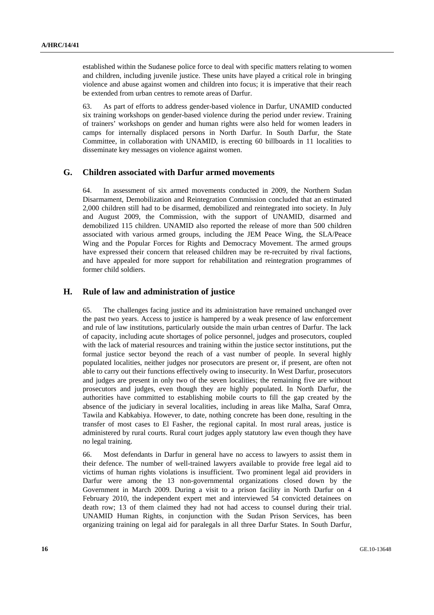established within the Sudanese police force to deal with specific matters relating to women and children, including juvenile justice. These units have played a critical role in bringing violence and abuse against women and children into focus; it is imperative that their reach be extended from urban centres to remote areas of Darfur.

63. As part of efforts to address gender-based violence in Darfur, UNAMID conducted six training workshops on gender-based violence during the period under review. Training of trainers' workshops on gender and human rights were also held for women leaders in camps for internally displaced persons in North Darfur. In South Darfur, the State Committee, in collaboration with UNAMID, is erecting 60 billboards in 11 localities to disseminate key messages on violence against women.

### **G. Children associated with Darfur armed movements**

64. In assessment of six armed movements conducted in 2009, the Northern Sudan Disarmament, Demobilization and Reintegration Commission concluded that an estimated 2,000 children still had to be disarmed, demobilized and reintegrated into society. In July and August 2009, the Commission, with the support of UNAMID, disarmed and demobilized 115 children. UNAMID also reported the release of more than 500 children associated with various armed groups, including the JEM Peace Wing, the SLA/Peace Wing and the Popular Forces for Rights and Democracy Movement. The armed groups have expressed their concern that released children may be re-recruited by rival factions, and have appealed for more support for rehabilitation and reintegration programmes of former child soldiers.

### **H. Rule of law and administration of justice**

65. The challenges facing justice and its administration have remained unchanged over the past two years. Access to justice is hampered by a weak presence of law enforcement and rule of law institutions, particularly outside the main urban centres of Darfur. The lack of capacity, including acute shortages of police personnel, judges and prosecutors, coupled with the lack of material resources and training within the justice sector institutions, put the formal justice sector beyond the reach of a vast number of people. In several highly populated localities, neither judges nor prosecutors are present or, if present, are often not able to carry out their functions effectively owing to insecurity. In West Darfur, prosecutors and judges are present in only two of the seven localities; the remaining five are without prosecutors and judges, even though they are highly populated. In North Darfur, the authorities have committed to establishing mobile courts to fill the gap created by the absence of the judiciary in several localities, including in areas like Malha, Saraf Omra, Tawila and Kabkabiya. However, to date, nothing concrete has been done, resulting in the transfer of most cases to El Fasher, the regional capital. In most rural areas, justice is administered by rural courts. Rural court judges apply statutory law even though they have no legal training.

66. Most defendants in Darfur in general have no access to lawyers to assist them in their defence. The number of well-trained lawyers available to provide free legal aid to victims of human rights violations is insufficient. Two prominent legal aid providers in Darfur were among the 13 non-governmental organizations closed down by the Government in March 2009. During a visit to a prison facility in North Darfur on 4 February 2010, the independent expert met and interviewed 54 convicted detainees on death row; 13 of them claimed they had not had access to counsel during their trial. UNAMID Human Rights, in conjunction with the Sudan Prison Services, has been organizing training on legal aid for paralegals in all three Darfur States. In South Darfur,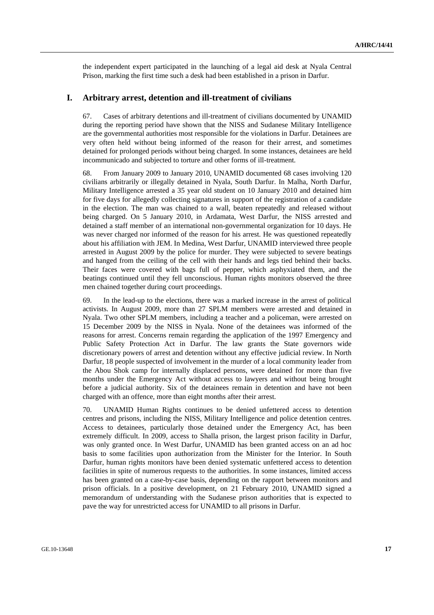the independent expert participated in the launching of a legal aid desk at Nyala Central Prison, marking the first time such a desk had been established in a prison in Darfur.

#### **I. Arbitrary arrest, detention and ill-treatment of civilians**

67. Cases of arbitrary detentions and ill-treatment of civilians documented by UNAMID during the reporting period have shown that the NISS and Sudanese Military Intelligence are the governmental authorities most responsible for the violations in Darfur. Detainees are very often held without being informed of the reason for their arrest, and sometimes detained for prolonged periods without being charged. In some instances, detainees are held incommunicado and subjected to torture and other forms of ill-treatment.

68. From January 2009 to January 2010, UNAMID documented 68 cases involving 120 civilians arbitrarily or illegally detained in Nyala, South Darfur. In Malha, North Darfur, Military Intelligence arrested a 35 year old student on 10 January 2010 and detained him for five days for allegedly collecting signatures in support of the registration of a candidate in the election. The man was chained to a wall, beaten repeatedly and released without being charged. On 5 January 2010, in Ardamata, West Darfur, the NISS arrested and detained a staff member of an international non-governmental organization for 10 days. He was never charged nor informed of the reason for his arrest. He was questioned repeatedly about his affiliation with JEM. In Medina, West Darfur, UNAMID interviewed three people arrested in August 2009 by the police for murder. They were subjected to severe beatings and hanged from the ceiling of the cell with their hands and legs tied behind their backs. Their faces were covered with bags full of pepper, which asphyxiated them, and the beatings continued until they fell unconscious. Human rights monitors observed the three men chained together during court proceedings.

69. In the lead-up to the elections, there was a marked increase in the arrest of political activists. In August 2009, more than 27 SPLM members were arrested and detained in Nyala. Two other SPLM members, including a teacher and a policeman, were arrested on 15 December 2009 by the NISS in Nyala. None of the detainees was informed of the reasons for arrest. Concerns remain regarding the application of the 1997 Emergency and Public Safety Protection Act in Darfur. The law grants the State governors wide discretionary powers of arrest and detention without any effective judicial review. In North Darfur, 18 people suspected of involvement in the murder of a local community leader from the Abou Shok camp for internally displaced persons, were detained for more than five months under the Emergency Act without access to lawyers and without being brought before a judicial authority. Six of the detainees remain in detention and have not been charged with an offence, more than eight months after their arrest.

70. UNAMID Human Rights continues to be denied unfettered access to detention centres and prisons, including the NISS, Military Intelligence and police detention centres. Access to detainees, particularly those detained under the Emergency Act, has been extremely difficult. In 2009, access to Shalla prison, the largest prison facility in Darfur, was only granted once. In West Darfur, UNAMID has been granted access on an ad hoc basis to some facilities upon authorization from the Minister for the Interior. In South Darfur, human rights monitors have been denied systematic unfettered access to detention facilities in spite of numerous requests to the authorities. In some instances, limited access has been granted on a case-by-case basis, depending on the rapport between monitors and prison officials. In a positive development, on 21 February 2010, UNAMID signed a memorandum of understanding with the Sudanese prison authorities that is expected to pave the way for unrestricted access for UNAMID to all prisons in Darfur.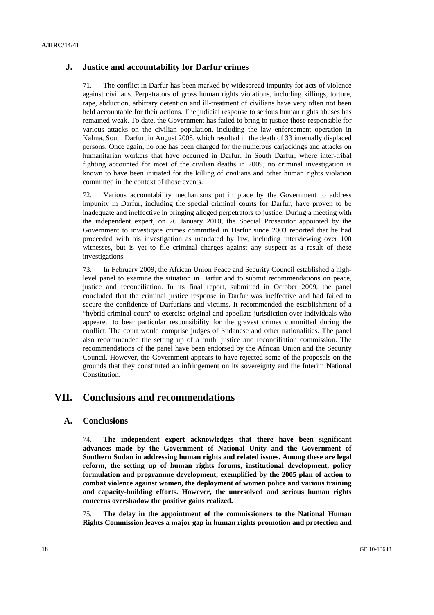## **J. Justice and accountability for Darfur crimes**

71. The conflict in Darfur has been marked by widespread impunity for acts of violence against civilians. Perpetrators of gross human rights violations, including killings, torture, rape, abduction, arbitrary detention and ill-treatment of civilians have very often not been held accountable for their actions. The judicial response to serious human rights abuses has remained weak. To date, the Government has failed to bring to justice those responsible for various attacks on the civilian population, including the law enforcement operation in Kalma, South Darfur, in August 2008, which resulted in the death of 33 internally displaced persons. Once again, no one has been charged for the numerous carjackings and attacks on humanitarian workers that have occurred in Darfur. In South Darfur, where inter-tribal fighting accounted for most of the civilian deaths in 2009, no criminal investigation is known to have been initiated for the killing of civilians and other human rights violation committed in the context of those events.

72. Various accountability mechanisms put in place by the Government to address impunity in Darfur, including the special criminal courts for Darfur, have proven to be inadequate and ineffective in bringing alleged perpetrators to justice. During a meeting with the independent expert, on 26 January 2010, the Special Prosecutor appointed by the Government to investigate crimes committed in Darfur since 2003 reported that he had proceeded with his investigation as mandated by law, including interviewing over 100 witnesses, but is yet to file criminal charges against any suspect as a result of these investigations.

73. In February 2009, the African Union Peace and Security Council established a highlevel panel to examine the situation in Darfur and to submit recommendations on peace, justice and reconciliation. In its final report, submitted in October 2009, the panel concluded that the criminal justice response in Darfur was ineffective and had failed to secure the confidence of Darfurians and victims. It recommended the establishment of a "hybrid criminal court" to exercise original and appellate jurisdiction over individuals who appeared to bear particular responsibility for the gravest crimes committed during the conflict. The court would comprise judges of Sudanese and other nationalities. The panel also recommended the setting up of a truth, justice and reconciliation commission. The recommendations of the panel have been endorsed by the African Union and the Security Council. However, the Government appears to have rejected some of the proposals on the grounds that they constituted an infringement on its sovereignty and the Interim National Constitution.

# **VII. Conclusions and recommendations**

#### **A. Conclusions**

74. **The independent expert acknowledges that there have been significant advances made by the Government of National Unity and the Government of Southern Sudan in addressing human rights and related issues. Among these are legal reform, the setting up of human rights forums, institutional development, policy formulation and programme development, exemplified by the 2005 plan of action to combat violence against women, the deployment of women police and various training and capacity-building efforts. However, the unresolved and serious human rights concerns overshadow the positive gains realized.**

75. **The delay in the appointment of the commissioners to the National Human Rights Commission leaves a major gap in human rights promotion and protection and**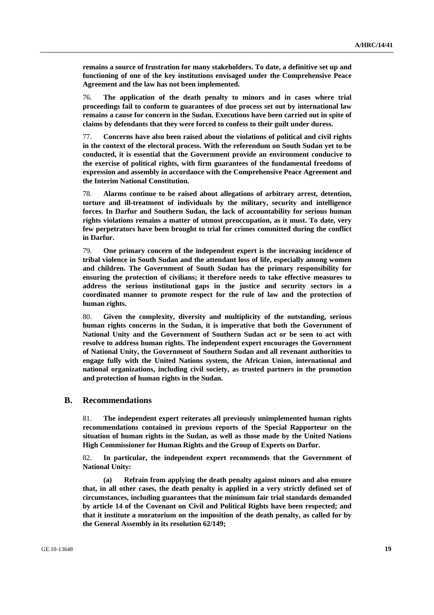**remains a source of frustration for many stakeholders. To date, a definitive set up and functioning of one of the key institutions envisaged under the Comprehensive Peace Agreement and the law has not been implemented.**

76. **The application of the death penalty to minors and in cases where trial proceedings fail to conform to guarantees of due process set out by international law remains a cause for concern in the Sudan. Executions have been carried out in spite of claims by defendants that they were forced to confess to their guilt under duress.**

77. **Concerns have also been raised about the violations of political and civil rights in the context of the electoral process. With the referendum on South Sudan yet to be conducted, it is essential that the Government provide an environment conducive to the exercise of political rights, with firm guarantees of the fundamental freedoms of expression and assembly in accordance with the Comprehensive Peace Agreement and the Interim National Constitution.**

78. **Alarms continue to be raised about allegations of arbitrary arrest, detention, torture and ill-treatment of individuals by the military, security and intelligence forces. In Darfur and Southern Sudan, the lack of accountability for serious human rights violations remains a matter of utmost preoccupation, as it must. To date, very few perpetrators have been brought to trial for crimes committed during the conflict in Darfur.**

79. **One primary concern of the independent expert is the increasing incidence of tribal violence in South Sudan and the attendant loss of life, especially among women and children. The Government of South Sudan has the primary responsibility for ensuring the protection of civilians; it therefore needs to take effective measures to address the serious institutional gaps in the justice and security sectors in a coordinated manner to promote respect for the rule of law and the protection of human rights.** 

80. **Given the complexity, diversity and multiplicity of the outstanding, serious human rights concerns in the Sudan, it is imperative that both the Government of National Unity and the Government of Southern Sudan act or be seen to act with resolve to address human rights. The independent expert encourages the Government of National Unity, the Government of Southern Sudan and all revenant authorities to engage fully with the United Nations system, the African Union, international and national organizations, including civil society, as trusted partners in the promotion and protection of human rights in the Sudan.**

#### **B. Recommendations**

81. **The independent expert reiterates all previously unimplemented human rights recommendations contained in previous reports of the Special Rapporteur on the situation of human rights in the Sudan, as well as those made by the United Nations High Commissioner for Human Rights and the Group of Experts on Darfur.** 

82. **In particular, the independent expert recommends that the Government of National Unity:** 

 **(a) Refrain from applying the death penalty against minors and also ensure that, in all other cases, the death penalty is applied in a very strictly defined set of circumstances, including guarantees that the minimum fair trial standards demanded by article 14 of the Covenant on Civil and Political Rights have been respected; and that it institute a moratorium on the imposition of the death penalty, as called for by the General Assembly in its resolution 62/149;**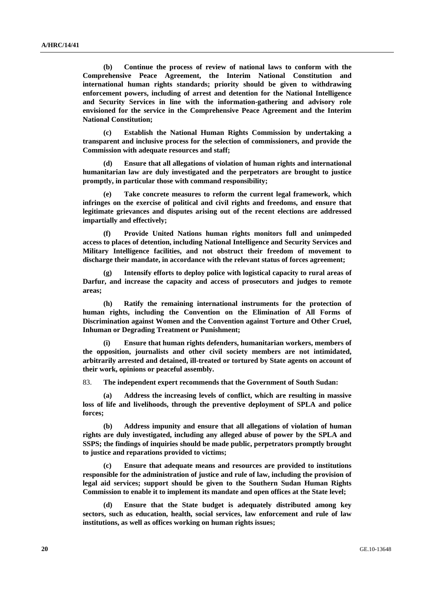**(b) Continue the process of review of national laws to conform with the Comprehensive Peace Agreement, the Interim National Constitution and international human rights standards; priority should be given to withdrawing enforcement powers, including of arrest and detention for the National Intelligence and Security Services in line with the information-gathering and advisory role envisioned for the service in the Comprehensive Peace Agreement and the Interim National Constitution;** 

 **(c) Establish the National Human Rights Commission by undertaking a transparent and inclusive process for the selection of commissioners, and provide the Commission with adequate resources and staff;** 

**Ensure that all allegations of violation of human rights and international humanitarian law are duly investigated and the perpetrators are brought to justice promptly, in particular those with command responsibility;** 

Take concrete measures to reform the current legal framework, which **infringes on the exercise of political and civil rights and freedoms, and ensure that legitimate grievances and disputes arising out of the recent elections are addressed impartially and effectively;** 

 **(f) Provide United Nations human rights monitors full and unimpeded access to places of detention, including National Intelligence and Security Services and Military Intelligence facilities, and not obstruct their freedom of movement to discharge their mandate, in accordance with the relevant status of forces agreement;** 

Intensify efforts to deploy police with logistical capacity to rural areas of **Darfur, and increase the capacity and access of prosecutors and judges to remote areas;** 

 **(h) Ratify the remaining international instruments for the protection of human rights, including the Convention on the Elimination of All Forms of Discrimination against Women and the Convention against Torture and Other Cruel, Inhuman or Degrading Treatment or Punishment;** 

**Ensure that human rights defenders, humanitarian workers, members of the opposition, journalists and other civil society members are not intimidated, arbitrarily arrested and detained, ill-treated or tortured by State agents on account of their work, opinions or peaceful assembly.** 

83. **The independent expert recommends that the Government of South Sudan:** 

 **(a) Address the increasing levels of conflict, which are resulting in massive loss of life and livelihoods, through the preventive deployment of SPLA and police forces;** 

 **(b) Address impunity and ensure that all allegations of violation of human rights are duly investigated, including any alleged abuse of power by the SPLA and SSPS; the findings of inquiries should be made public, perpetrators promptly brought to justice and reparations provided to victims;** 

 **(c) Ensure that adequate means and resources are provided to institutions responsible for the administration of justice and rule of law, including the provision of legal aid services; support should be given to the Southern Sudan Human Rights Commission to enable it to implement its mandate and open offices at the State level;** 

 **(d) Ensure that the State budget is adequately distributed among key sectors, such as education, health, social services, law enforcement and rule of law institutions, as well as offices working on human rights issues;**